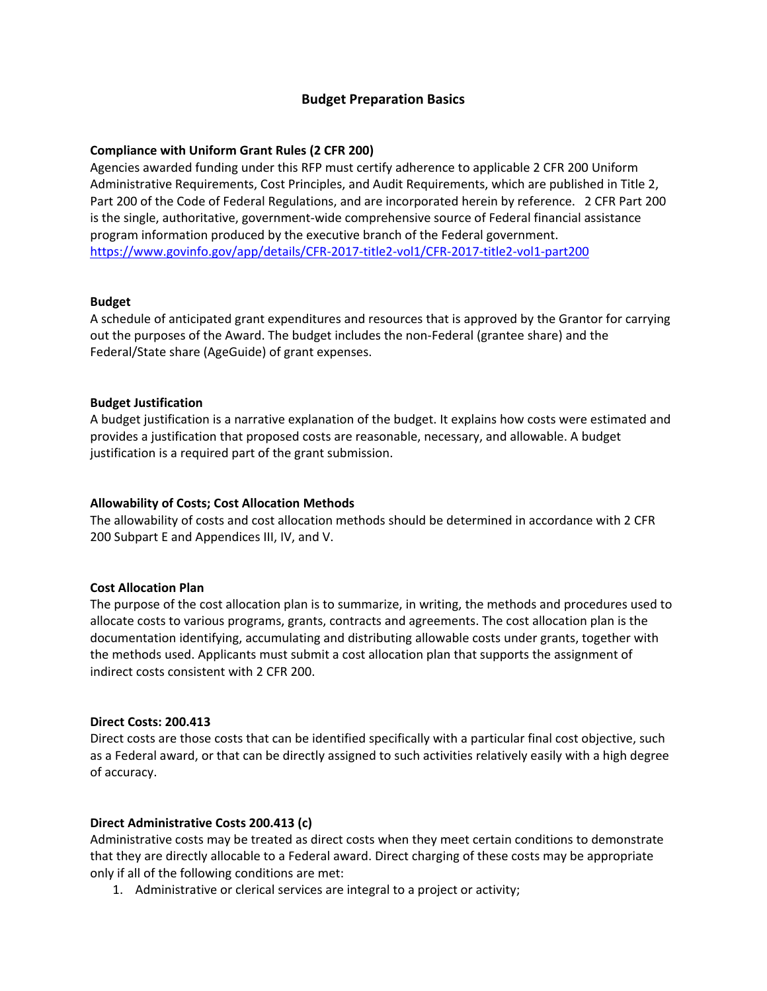# **Budget Preparation Basics**

## **Compliance with Uniform Grant Rules (2 CFR 200)**

Agencies awarded funding under this RFP must certify adherence to applicable 2 CFR 200 Uniform Administrative Requirements, Cost Principles, and Audit Requirements, which are published in Title 2, Part 200 of the Code of Federal Regulations, and are incorporated herein by reference. 2 CFR Part 200 is the single, authoritative, government‐wide comprehensive source of Federal financial assistance program information produced by the executive branch of the Federal government. https://www.govinfo.gov/app/details/CFR‐2017‐title2‐vol1/CFR‐2017‐title2‐vol1‐part200

#### **Budget**

A schedule of anticipated grant expenditures and resources that is approved by the Grantor for carrying out the purposes of the Award. The budget includes the non‐Federal (grantee share) and the Federal/State share (AgeGuide) of grant expenses.

#### **Budget Justification**

A budget justification is a narrative explanation of the budget. It explains how costs were estimated and provides a justification that proposed costs are reasonable, necessary, and allowable. A budget justification is a required part of the grant submission.

#### **Allowability of Costs; Cost Allocation Methods**

The allowability of costs and cost allocation methods should be determined in accordance with 2 CFR 200 Subpart E and Appendices III, IV, and V.

## **Cost Allocation Plan**

The purpose of the cost allocation plan is to summarize, in writing, the methods and procedures used to allocate costs to various programs, grants, contracts and agreements. The cost allocation plan is the documentation identifying, accumulating and distributing allowable costs under grants, together with the methods used. Applicants must submit a cost allocation plan that supports the assignment of indirect costs consistent with 2 CFR 200.

#### **Direct Costs: 200.413**

Direct costs are those costs that can be identified specifically with a particular final cost objective, such as a Federal award, or that can be directly assigned to such activities relatively easily with a high degree of accuracy.

#### **Direct Administrative Costs 200.413 (c)**

Administrative costs may be treated as direct costs when they meet certain conditions to demonstrate that they are directly allocable to a Federal award. Direct charging of these costs may be appropriate only if all of the following conditions are met:

1. Administrative or clerical services are integral to a project or activity;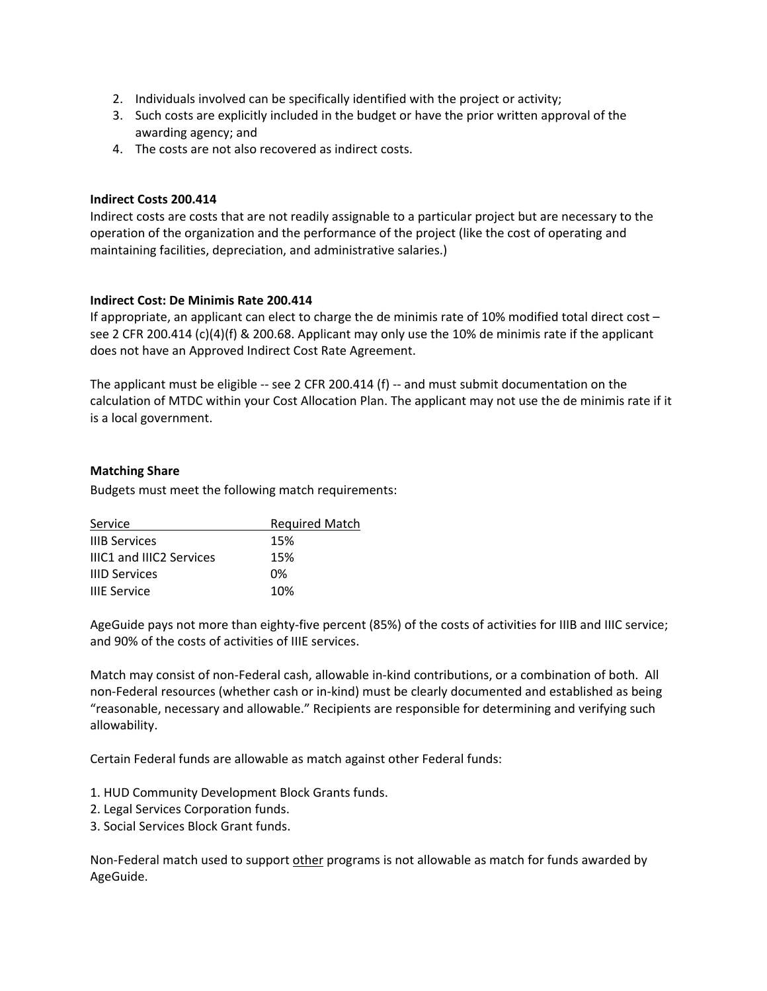- 2. Individuals involved can be specifically identified with the project or activity;
- 3. Such costs are explicitly included in the budget or have the prior written approval of the awarding agency; and
- 4. The costs are not also recovered as indirect costs.

## **Indirect Costs 200.414**

Indirect costs are costs that are not readily assignable to a particular project but are necessary to the operation of the organization and the performance of the project (like the cost of operating and maintaining facilities, depreciation, and administrative salaries.)

## **Indirect Cost: De Minimis Rate 200.414**

If appropriate, an applicant can elect to charge the de minimis rate of 10% modified total direct cost – see 2 CFR 200.414 (c)(4)(f) & 200.68. Applicant may only use the 10% de minimis rate if the applicant does not have an Approved Indirect Cost Rate Agreement.

The applicant must be eligible -- see 2 CFR 200.414 (f) -- and must submit documentation on the calculation of MTDC within your Cost Allocation Plan. The applicant may not use the de minimis rate if it is a local government.

## **Matching Share**

Budgets must meet the following match requirements:

| Service                         | <b>Required Match</b> |
|---------------------------------|-----------------------|
| <b>IIIB Services</b>            | 15%                   |
| <b>IIIC1 and IIIC2 Services</b> | 15%                   |
| <b>IIID Services</b>            | በ%                    |
| <b>IIIE Service</b>             | 10%                   |

AgeGuide pays not more than eighty‐five percent (85%) of the costs of activities for IIIB and IIIC service; and 90% of the costs of activities of IIIE services.

Match may consist of non‐Federal cash, allowable in‐kind contributions, or a combination of both. All non‐Federal resources (whether cash or in‐kind) must be clearly documented and established as being "reasonable, necessary and allowable." Recipients are responsible for determining and verifying such allowability.

Certain Federal funds are allowable as match against other Federal funds:

1. HUD Community Development Block Grants funds.

- 2. Legal Services Corporation funds.
- 3. Social Services Block Grant funds.

Non-Federal match used to support other programs is not allowable as match for funds awarded by AgeGuide.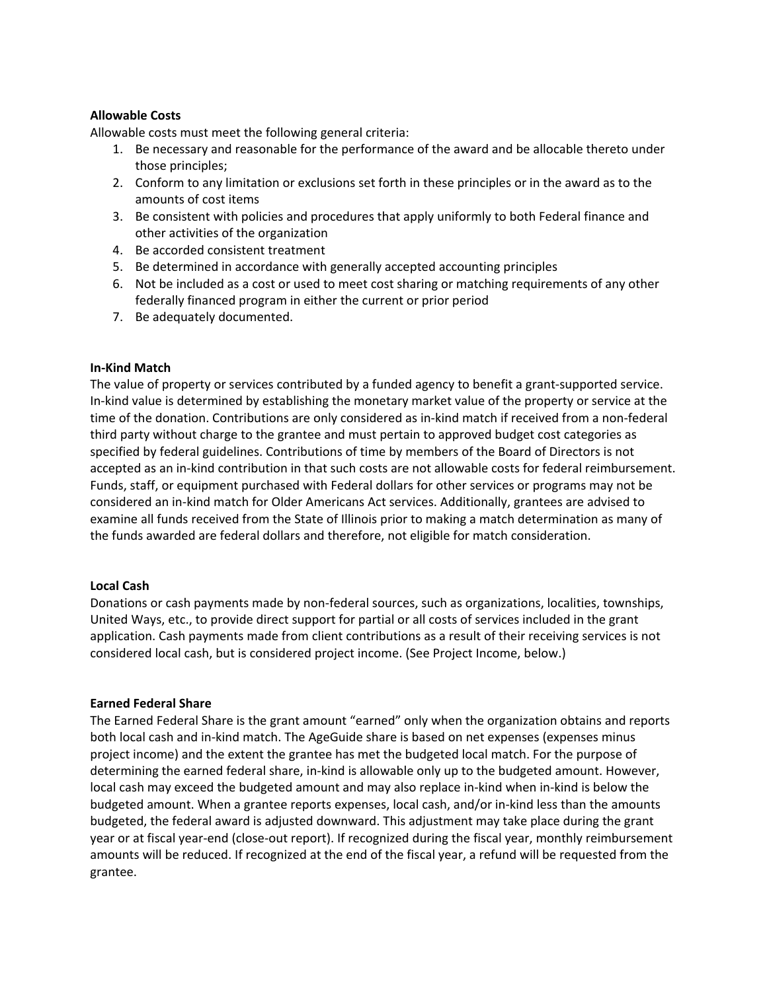## **Allowable Costs**

Allowable costs must meet the following general criteria:

- 1. Be necessary and reasonable for the performance of the award and be allocable thereto under those principles;
- 2. Conform to any limitation or exclusions set forth in these principles or in the award as to the amounts of cost items
- 3. Be consistent with policies and procedures that apply uniformly to both Federal finance and other activities of the organization
- 4. Be accorded consistent treatment
- 5. Be determined in accordance with generally accepted accounting principles
- 6. Not be included as a cost or used to meet cost sharing or matching requirements of any other federally financed program in either the current or prior period
- 7. Be adequately documented.

#### **In‐Kind Match**

The value of property or services contributed by a funded agency to benefit a grant‐supported service. In-kind value is determined by establishing the monetary market value of the property or service at the time of the donation. Contributions are only considered as in‐kind match if received from a non‐federal third party without charge to the grantee and must pertain to approved budget cost categories as specified by federal guidelines. Contributions of time by members of the Board of Directors is not accepted as an in‐kind contribution in that such costs are not allowable costs for federal reimbursement. Funds, staff, or equipment purchased with Federal dollars for other services or programs may not be considered an in‐kind match for Older Americans Act services. Additionally, grantees are advised to examine all funds received from the State of Illinois prior to making a match determination as many of the funds awarded are federal dollars and therefore, not eligible for match consideration.

#### **Local Cash**

Donations or cash payments made by non-federal sources, such as organizations, localities, townships, United Ways, etc., to provide direct support for partial or all costs of services included in the grant application. Cash payments made from client contributions as a result of their receiving services is not considered local cash, but is considered project income. (See Project Income, below.)

#### **Earned Federal Share**

The Earned Federal Share is the grant amount "earned" only when the organization obtains and reports both local cash and in‐kind match. The AgeGuide share is based on net expenses (expenses minus project income) and the extent the grantee has met the budgeted local match. For the purpose of determining the earned federal share, in‐kind is allowable only up to the budgeted amount. However, local cash may exceed the budgeted amount and may also replace in‐kind when in‐kind is below the budgeted amount. When a grantee reports expenses, local cash, and/or in‐kind less than the amounts budgeted, the federal award is adjusted downward. This adjustment may take place during the grant year or at fiscal year‐end (close‐out report). If recognized during the fiscal year, monthly reimbursement amounts will be reduced. If recognized at the end of the fiscal year, a refund will be requested from the grantee.